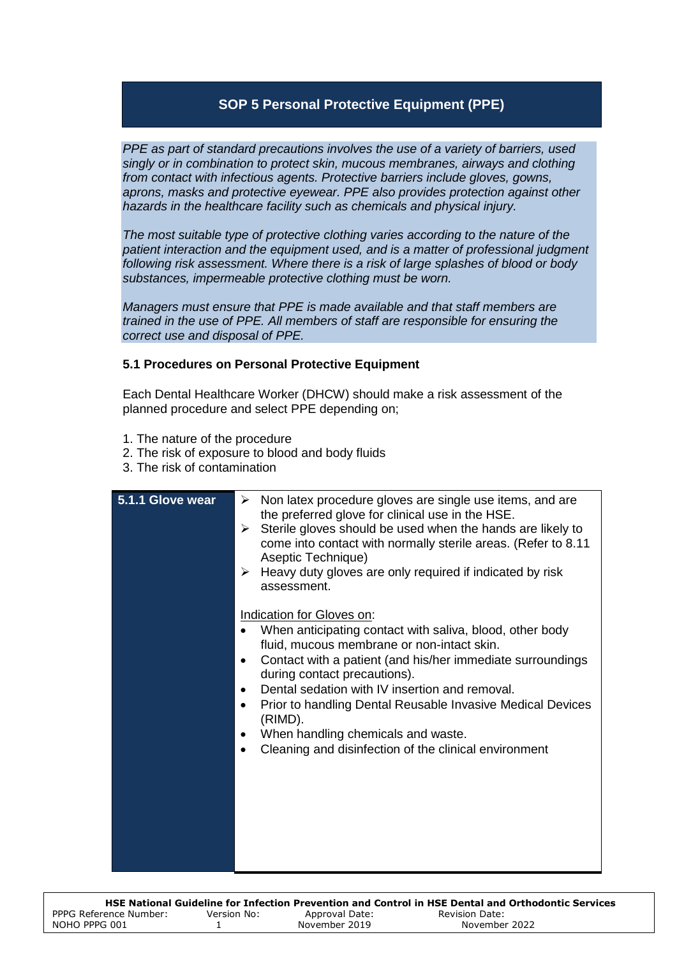## **SOP 5 Personal Protective Equipment (PPE)**

*PPE as part of standard precautions involves the use of a variety of barriers, used singly or in combination to protect skin, mucous membranes, airways and clothing from contact with infectious agents. Protective barriers include gloves, gowns, aprons, masks and protective eyewear. PPE also provides protection against other hazards in the healthcare facility such as chemicals and physical injury.* 

*The most suitable type of protective clothing varies according to the nature of the patient interaction and the equipment used, and is a matter of professional judgment following risk assessment. Where there is a risk of large splashes of blood or body substances, impermeable protective clothing must be worn.* 

*Managers must ensure that PPE is made available and that staff members are trained in the use of PPE. All members of staff are responsible for ensuring the correct use and disposal of PPE.*

## **5.1 Procedures on Personal Protective Equipment**

Each Dental Healthcare Worker (DHCW) should make a risk assessment of the planned procedure and select PPE depending on;

- 1. The nature of the procedure
- 2. The risk of exposure to blood and body fluids
- 3. The risk of contamination

| 5.1.1 Glove wear | Non latex procedure gloves are single use items, and are<br>≻<br>the preferred glove for clinical use in the HSE.<br>Sterile gloves should be used when the hands are likely to<br>➤<br>come into contact with normally sterile areas. (Refer to 8.11<br>Aseptic Technique)<br>$\triangleright$ Heavy duty gloves are only required if indicated by risk<br>assessment.                                                                                     |
|------------------|-------------------------------------------------------------------------------------------------------------------------------------------------------------------------------------------------------------------------------------------------------------------------------------------------------------------------------------------------------------------------------------------------------------------------------------------------------------|
|                  | Indication for Gloves on:<br>When anticipating contact with saliva, blood, other body<br>fluid, mucous membrane or non-intact skin.<br>Contact with a patient (and his/her immediate surroundings<br>during contact precautions).<br>Dental sedation with IV insertion and removal.<br>Prior to handling Dental Reusable Invasive Medical Devices<br>(RIMD).<br>When handling chemicals and waste.<br>Cleaning and disinfection of the clinical environment |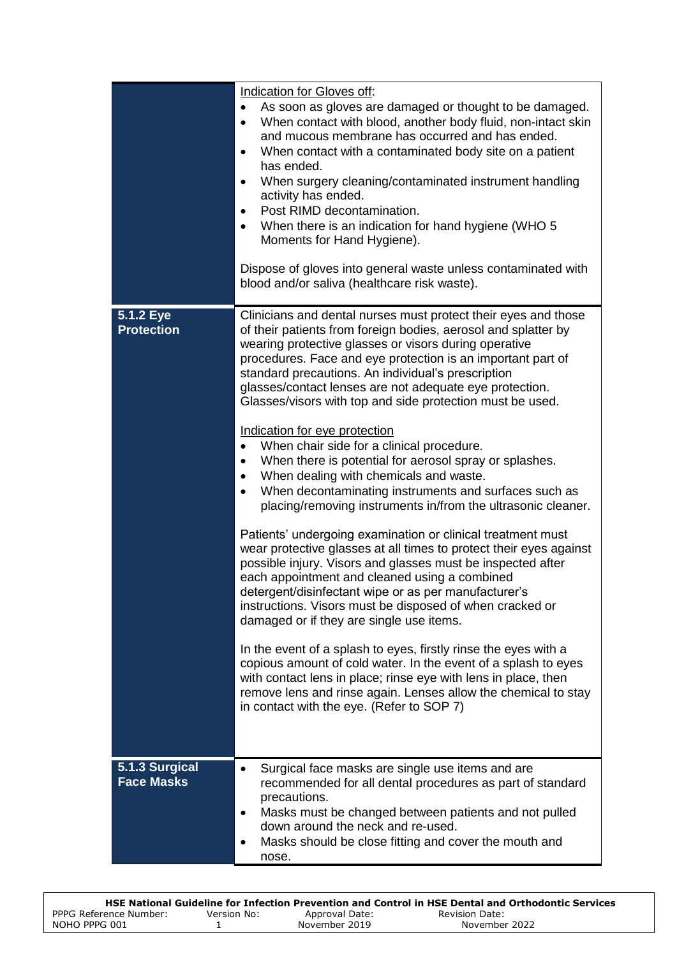|                                     | Indication for Gloves off:<br>As soon as gloves are damaged or thought to be damaged.<br>$\bullet$<br>When contact with blood, another body fluid, non-intact skin<br>$\bullet$<br>and mucous membrane has occurred and has ended.<br>When contact with a contaminated body site on a patient<br>$\bullet$<br>has ended.<br>When surgery cleaning/contaminated instrument handling<br>$\bullet$<br>activity has ended.<br>Post RIMD decontamination.<br>$\bullet$<br>When there is an indication for hand hygiene (WHO 5<br>Moments for Hand Hygiene).<br>Dispose of gloves into general waste unless contaminated with<br>blood and/or saliva (healthcare risk waste).                                                                                                                                                                                                                                                                                                                                                                                                                                                                                                                                                                                                                                                                                                                                                                                                                                                                          |
|-------------------------------------|--------------------------------------------------------------------------------------------------------------------------------------------------------------------------------------------------------------------------------------------------------------------------------------------------------------------------------------------------------------------------------------------------------------------------------------------------------------------------------------------------------------------------------------------------------------------------------------------------------------------------------------------------------------------------------------------------------------------------------------------------------------------------------------------------------------------------------------------------------------------------------------------------------------------------------------------------------------------------------------------------------------------------------------------------------------------------------------------------------------------------------------------------------------------------------------------------------------------------------------------------------------------------------------------------------------------------------------------------------------------------------------------------------------------------------------------------------------------------------------------------------------------------------------------------|
| 5.1.2 Eye<br><b>Protection</b>      | Clinicians and dental nurses must protect their eyes and those<br>of their patients from foreign bodies, aerosol and splatter by<br>wearing protective glasses or visors during operative<br>procedures. Face and eye protection is an important part of<br>standard precautions. An individual's prescription<br>glasses/contact lenses are not adequate eye protection.<br>Glasses/visors with top and side protection must be used.<br>Indication for eye protection<br>When chair side for a clinical procedure.<br>$\bullet$<br>When there is potential for aerosol spray or splashes.<br>$\bullet$<br>When dealing with chemicals and waste.<br>$\bullet$<br>When decontaminating instruments and surfaces such as<br>$\bullet$<br>placing/removing instruments in/from the ultrasonic cleaner.<br>Patients' undergoing examination or clinical treatment must<br>wear protective glasses at all times to protect their eyes against<br>possible injury. Visors and glasses must be inspected after<br>each appointment and cleaned using a combined<br>detergent/disinfectant wipe or as per manufacturer's<br>instructions. Visors must be disposed of when cracked or<br>damaged or if they are single use items.<br>In the event of a splash to eyes, firstly rinse the eyes with a<br>copious amount of cold water. In the event of a splash to eyes<br>with contact lens in place; rinse eye with lens in place, then<br>remove lens and rinse again. Lenses allow the chemical to stay<br>in contact with the eye. (Refer to SOP 7) |
| 5.1.3 Surgical<br><b>Face Masks</b> | Surgical face masks are single use items and are<br>recommended for all dental procedures as part of standard<br>precautions.<br>Masks must be changed between patients and not pulled<br>٠<br>down around the neck and re-used.<br>Masks should be close fitting and cover the mouth and<br>٠<br>nose.                                                                                                                                                                                                                                                                                                                                                                                                                                                                                                                                                                                                                                                                                                                                                                                                                                                                                                                                                                                                                                                                                                                                                                                                                                          |

|                        |             |                | HSE National Guideline for Infection Prevention and Control in HSE Dental and Orthodontic Services |
|------------------------|-------------|----------------|----------------------------------------------------------------------------------------------------|
| PPPG Reference Number: | Version No: | Approval Date: | Revision Date:                                                                                     |
| NOHO PPPG 001          |             | November 2019  | November 2022                                                                                      |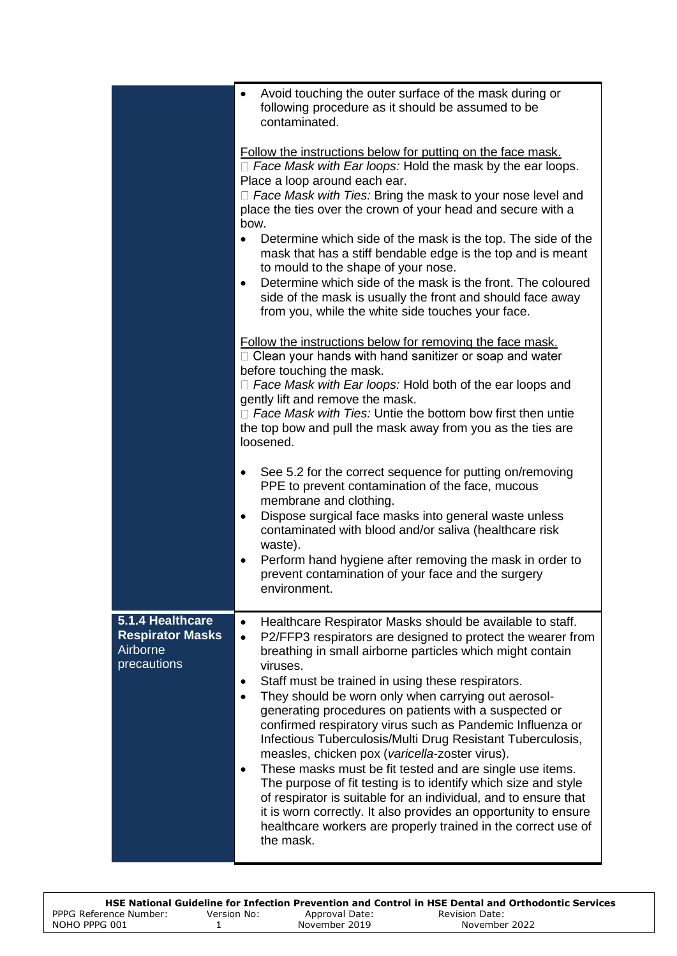|                                                                        | Avoid touching the outer surface of the mask during or<br>٠<br>following procedure as it should be assumed to be<br>contaminated.<br>Follow the instructions below for putting on the face mask.<br>$\Box$ Face Mask with Ear loops: Hold the mask by the ear loops.<br>Place a loop around each ear.<br>$\Box$ Face Mask with Ties: Bring the mask to your nose level and                                                                                                                                                                                                                                                                                                                                                                                                                                                                                                                                                                        |  |  |
|------------------------------------------------------------------------|---------------------------------------------------------------------------------------------------------------------------------------------------------------------------------------------------------------------------------------------------------------------------------------------------------------------------------------------------------------------------------------------------------------------------------------------------------------------------------------------------------------------------------------------------------------------------------------------------------------------------------------------------------------------------------------------------------------------------------------------------------------------------------------------------------------------------------------------------------------------------------------------------------------------------------------------------|--|--|
|                                                                        | place the ties over the crown of your head and secure with a<br>bow.<br>Determine which side of the mask is the top. The side of the<br>$\bullet$<br>mask that has a stiff bendable edge is the top and is meant<br>to mould to the shape of your nose.<br>Determine which side of the mask is the front. The coloured<br>$\bullet$<br>side of the mask is usually the front and should face away                                                                                                                                                                                                                                                                                                                                                                                                                                                                                                                                                 |  |  |
|                                                                        | from you, while the white side touches your face.<br>Follow the instructions below for removing the face mask.<br>$\Box$ Clean your hands with hand sanitizer or soap and water<br>before touching the mask.<br>$\Box$ Face Mask with Ear loops: Hold both of the ear loops and<br>gently lift and remove the mask.<br>$\Box$ Face Mask with Ties: Untie the bottom bow first then untie<br>the top bow and pull the mask away from you as the ties are<br>loosened.                                                                                                                                                                                                                                                                                                                                                                                                                                                                              |  |  |
|                                                                        | See 5.2 for the correct sequence for putting on/removing<br>$\bullet$<br>PPE to prevent contamination of the face, mucous<br>membrane and clothing.<br>Dispose surgical face masks into general waste unless<br>$\bullet$<br>contaminated with blood and/or saliva (healthcare risk<br>waste).<br>Perform hand hygiene after removing the mask in order to<br>$\bullet$<br>prevent contamination of your face and the surgery<br>environment.                                                                                                                                                                                                                                                                                                                                                                                                                                                                                                     |  |  |
| 5.1.4 Healthcare<br><b>Respirator Masks</b><br>Airborne<br>precautions | Healthcare Respirator Masks should be available to staff.<br>$\bullet$<br>P2/FFP3 respirators are designed to protect the wearer from<br>$\bullet$<br>breathing in small airborne particles which might contain<br>viruses.<br>Staff must be trained in using these respirators.<br>٠<br>They should be worn only when carrying out aerosol-<br>$\bullet$<br>generating procedures on patients with a suspected or<br>confirmed respiratory virus such as Pandemic Influenza or<br>Infectious Tuberculosis/Multi Drug Resistant Tuberculosis,<br>measles, chicken pox (varicella-zoster virus).<br>These masks must be fit tested and are single use items.<br>The purpose of fit testing is to identify which size and style<br>of respirator is suitable for an individual, and to ensure that<br>it is worn correctly. It also provides an opportunity to ensure<br>healthcare workers are properly trained in the correct use of<br>the mask. |  |  |

|                        |             |                | HSE National Guideline for Infection Prevention and Control in HSE Dental and Orthodontic Services |
|------------------------|-------------|----------------|----------------------------------------------------------------------------------------------------|
| PPPG Reference Number: | Version No: | Approval Date: | Revision Date:                                                                                     |
| NOHO PPPG 001          |             | November 2019  | November 2022                                                                                      |